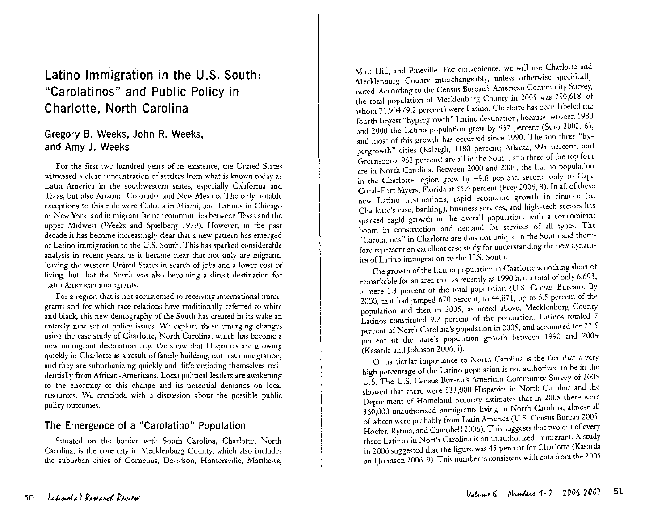# Latino Immigration in the U.S. South: **"Carolatinos" and Public Policy in Charlotte, North Carolina**

## **Gregory B. Weeks, John R. Weeks, and Amy J. Weeks**

. For the first two hundred years of its existence, the United States witnessed a clear concentration of settlers from what is known today as Latin America in the southwestern states, especially California and Texas, but also Arizona, Colorado, and New Mexico. The only notable exceptions to this rule were Cubans in Miami, and Latinos in Chicago or New York, and m migrant farmer communities between Texas and the upper Midwest (Weeks and Spielberg 1979). However, in the past decade it has become increasingly clear that a new pattern has emerged of Latino immigration to the U.S. South. This has sparked considerable analysis in recent years, as it became clear that not only are migrants leaving the western United States in search of jobs and a lower cost of living, but that the South was also becoming a direct destination for Latin American immigrants.

For a region that is not accustomed to receiving international immigrants and for which race relations have traditionally referred to white and black, this new demography of the South has created in its wake an entirely new set of policy issues. We explore these emerging changes using the case study of Charlotte, North Carolina, which has become a new immigrant destination city. We show that Hispanics are growing quickly in Charlotte as a result of family building, not just immigration, and they are suburbanizing quickly and differentiating themselves residentially from African-Americans. Local political leaders are awakening to the enormity of this change and its potential demands on local resources. We conclude with a discussion about the possible public policy outcomes.

## **The Emergence of a "Carolatino" Population**

Situated on the border with South Carolina, Charlotte, North Carolina, is the core city in Mecklenburg County, which also includes the suburban cities of Cornelius, Davidson, Huntersville, Matthews,

Mint Hill, and Pineville. For convenience, we will use Charlotte and Mecklenburg County interchangeably, unless otherwise specifically noted. According to the Census Bureau's American Community Survey, the total population of Mecklenburg County in 2005 was 780,618, of whom 71,904 (9.2 percent) were Latino. Charlotte has been labeled the fourth largest "hypergrowth" Latino destination, because between 1980 and 2000 the Latino population grew by 932 percent (Suro 2002, 6), and most of this growth has occurred since 1990. The top three "hypergrowth" cities (Raleigh, 1180 percent; Atlanta, 995 percent; and Greensboro, 962 percent) are all in the South, and three of the top four are in North Carolina. Between 2000 and 2004, the Latino population in the Charlotte region grew by 49.8 percent, second only to Cape Coral-Fort Myers, Florida at 55.4 percent (Frey 2006, 8). In all of these new Latino destinations, rapid economic growth in finance (in Charlotte's case, banking), business services, and high-tech sectors has sparked rapid growth in the overall population, with a concomitant boom in construction and demand for services of all types. The "Carolatinos" in Charlotte are thus not unique in the South and therefore represent an excellent case study for understanding the new dynamics of Latino immigration to the US. South.

The growth of the Latino population in Charlotte is nothing short of remarkable for an area that as recently as 1990 had a total of only 6,693, a mere 1.3 percent of the total population (US. Census Bureau). By 2000, that had jumped 670 percent, to  $44,871$ , up to 6.5 percent of the population and then in 2005, as noted above, Mecklenburg County Latinos constituted 9.2 percent of the population. Latinos totaled 7 percent of North Carolina's population in 2005, and accounted for 27.5 percent of the state's population growth between 1990 and 2004 (Kasarda and Johnson 2006, i).

Of particular importance to North Carolina is the fact that a very high percentage of the Latino population is not authorized to be in the U.S. The U.S. Census Bureau's American Community Survey of 2005 showed that there were 533,000 Hispanics in North Carolina and the Department of Homeland Security estimates that in 2005 there were 360,000 unauthorized immigrants living in North Carolina, almost all of whom were probably from Latin America (US. Census Bureau 2005; Hoefer, Rytina, and Campbell 2006). This suggests that two out of every three Latinos in North Carolina is an unauthorized immigrant. A study n 2006 suggested that the figure was 45 percent for Charlotte (Kasarda and Johnson 2006,9). This number is consistent with data from the 2005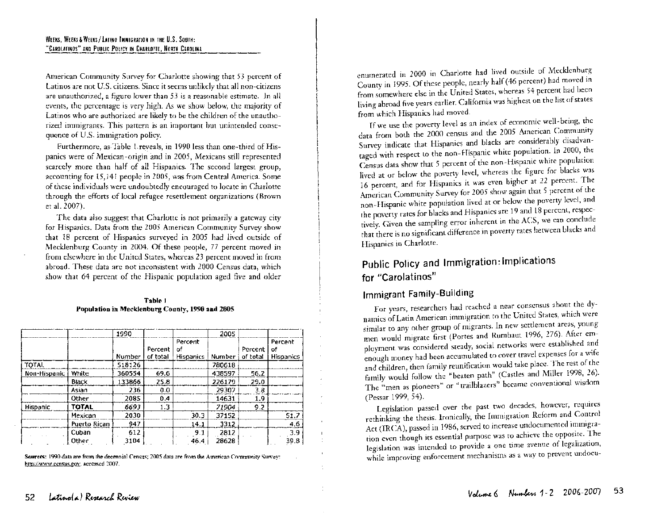American Community Survey for Charlotte showing that 53 percent of Latinos are not U.S. citizens. Since it seems unlikely that all non-citizens are unauthorized, a figure lower than 53 is a reasonable estimate. In all events, the percentage is very high. As we show below, the majority of Latinos who are authorized are likely to be the children of the unauthorized immigrants. This pattern is an important but unintended consequence of U.S. immigration policy.

Furthermore, as-Table Lreveals, in 1990 less than one-third of Hispanics were of Mexican-origin and in 2005, Mexicans still represented scarcely more than half of all Hispanics. The second largest group, accounting for 15,141 people in 2005, was from Central America. Some of these individuals were undoubtedly encouraged to locate in Charlotte through the efforts of local refugee resettlement organizations (Brown et al. 2007).

The data also suggest that Charlotte is not primarily a gateway city for Hispanics. Data from the 2005 American Community Survey show that 18 percent of Hispanics surveyed in 2005 had lived outside of Mecklenburg County in 2004. Of these people, 77 percent moved in from elsewhere in the United States, whereas 23 percent moved in from abroad. These data are not inconsistent with 2000 Census data, which show that 64 percent of the Hispanic population aged five and older

#### Table 1 Population in Mecklenburg County, 1990 aod 2005

|                 |              | 1990   |          |                  | 2005   |          |                  |
|-----------------|--------------|--------|----------|------------------|--------|----------|------------------|
|                 |              |        |          | Percent          |        |          | Percent          |
|                 |              |        | Percent  | of               |        | Percent  | of               |
|                 |              | Number | of total | <b>Hispanics</b> | Number | of total | <b>Hispanics</b> |
| TOTAL           |              | 518126 |          |                  | 780618 |          |                  |
| Non-Hispanic    | White        | 360554 | 69.6     |                  | 438597 | 56.2     |                  |
|                 | Black        | 133866 | 25.8     |                  | 226179 | 29.0     |                  |
|                 | Asian        | 236    | 0.0      |                  | 29307  | 3.8      |                  |
|                 | Other        | 2085   | 0.4      |                  | 14631  | 1.9      |                  |
| <b>Hispanic</b> | TOTAL        | 6693   | 1.3      |                  | 71904  | 9.2      |                  |
|                 | Mexican      | 2030   |          | 30.3             | 37152  |          | 51.7             |
|                 | Puerto Rican | 947    |          | 14.1             | 3312   |          | 4.6              |
|                 | Cuban        | 612    |          | 9.1              | 2812   |          | 3.9              |
|                 | Other        | 3104   |          | 46.4             | 28628  |          | 39.8             |

Sources: 1990 data are from the decennial Census; 2005 data are from the American Community Survey: http://www.ccnsus.gov, accessed 2007.

enumerated in 2000 in Charlotte had lived outside of Mecklenburg County in 1995. Of these people, nearly half (46 percent) had moved in from somewhere else in the United States, whereas 54 percent had been living abroad five years earlier. California was highest on the list of states from which Hispanics had moved.

If we use the poverty level as an index of economic well- being, the data from both the 2000 census and the 2005 American Community Survey indicate that Hispanics and blacks are considerably disadvantaged with respect to the non-Hispanic white population. In 2000, the Census data show that 5 percent of the non-Hispanic white population lived at or below the poverty level, whereas the figure for blacks was 16 percent, and for Hispanics it was even higher at 22 percent. The American Community Survey for 2005 show again that 5 percent of the non~Hispanic white population lived at or below the poverty level, and the poverty rates for blacks and Hispanics are 19 and 18 percent, respectively. Given the sampling error inherent in the ACS, we can conclude that there is no significant difference in poverty rates between blacks and Hispanics in Charlotte.

# Public Policy and Immigration: Implications for "Carolatinos"

## Immigrant Family-Building

For years, researchers had reached a near consensus about the dynamics of Latin American immigration to the United States, which were similar to any other group of migrants. In new settlement areas, young men would migrate first (Portes and Rumbaut 1996, 276). After employment was considered steady, social networks were established and enough money had been accumulated to cover travel expenses for a wife and children, then family reunification would take place. The rest of the family would follow the "beaten path" (Castles and Miller 1998, 26). The "men as pioneers" or "trailblazers" became conventional wisdom (Pessar 1999, 54).

Legislation passed over the past two decades, however, requires rethinking the thesis. Ironically, the Immigration Reform and Control Act (IRCA), passed in 1986, served to increase undocumented immigration even though its essential purpose was to achieve the opposite. The legislation was intended to provide a one time avenue of legalization, while improving enforcement mechanisms as a way to prevent undocu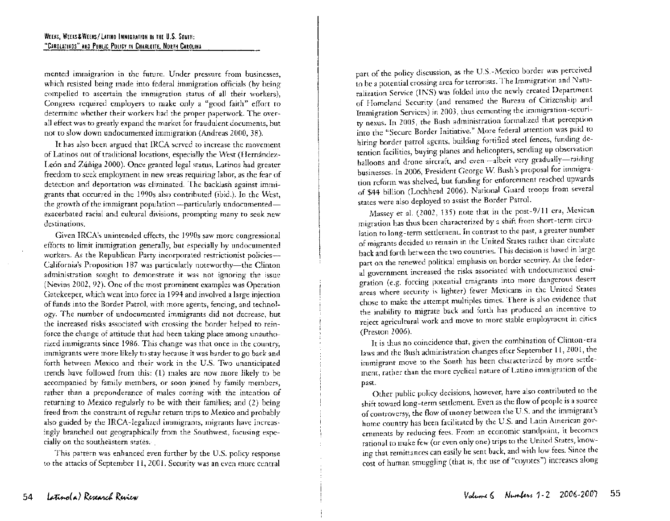mented immigration in the future. Under pressure from businesses, which resisted being made into federal immigration officials (by being compelled to ascertain the immigration status of all their workers), Congress required employers to make only a "good faith" effort to determine whether their workers had the proper paperwork. The overall effect was to greatly expand the market for fraudulent documents, but not to slow down undocumented immigration (Andreas 2000, 38).

It has also been argued that IRCA served to increase the movement of Latinos out of traditional locations, especially the West (Hernandez-León and Zúñiga 2000). Once granted legal status, Latinos had greater freedom to seek employment in new areas requiring labor, as the fear of detection and deportation was eliminated. The backlash against immigrants that occurred in the 1990s also contributed (ibid.). In the West, the growth of the immigrant population  $-p$  articularly undocumented $$ exacerbated racial and cultural divisions, prompting many to seek new destinations.

Given IRCA's unintended effects, the 1990s saw more congressional efforts to limit immigration generally, but especially by undocumented workers. As the Republican Party incorporated restrictionist policies---California's Proposition 187 was particularly noteworthy-the Clinton administration sought to demonstrate it was not ignoring the issue (Nevins 2002, 92). One of the most prominent examples was Operation Gatekeeper, which went into force in 1994 and involved a large injection of funds into the Border Patrol, with more agents, fencing, and technology. The number of undocumented immigrants did not decrease, but the increased risks associated with crossing the border helped to reinforce the change of attitude that had been taking place among unauthorized immigrants since 1986. This change was that once in the country, immigrants were more likely to stay because it was harder to go back and forth between Mexico and their work in the U.S. Two unanticipated trends have followed from this: (1) males are now more likely to be accompanied by family members, or soon joined by family members, rather than a preponderance of males coming with the intention of returning to Mexico regularly to be with their families; and (2) being freed from the constraint of regular return trips to Mexico and probably also guided by the IRCA-legalized immigrants, migrants have increasingly branched out geographically from the Southwest, focusing especially on the southeastern states.

This pattern was enhanced even further by the U.S. policy response to the attacks of September **11,** 2001. Security was an even more central

part of the policy discussion, as the U.S.-Mexico border was perceived to be a potential crossing area for terrorists. The Immigration and Naturalization Service (INS) was folded into the newly created Department of Homeland Security (and renamed the Bureau of Citizenship and Immigration Services) in 2003, thus cementing the immigration-security nexus. In 2005, the Bush administration formalized that perception into the "Secure Border Initiative." More federal attention was paid to hiring border patrol agents, building fortified steel fences, funding detention facilities, buying planes and helicopters, sending up observation balloons and drone aircraft, and even-albeit very gradually-raiding businesses. In 2006, President George W. Bush's proposal for immigration reform was shelved, but funding for enforcement reached upwards of \$44 billion (Lochhead 2006). National Guard troops from several states were also deployed to assist the Border Patrol.

Massey et al. (2002, 135) note that in the post-9/11 era, Mexican migration has thus been characterized by a shift from short-term circu lation to long-term settlement. In contrast to the past, a greater number of migrants decided to remain in the United States rather than circulate back and forth between the two countries. This decision is based in large part on the renewed political emphasis on border security. As the feder al government increased the risks associated with undocumented emi gration (e.g. forcing potential emigrants into more dangerous desert areas where security is lighter) fewer Mexicans in the United States chose to make the attempt multiples times. There is also evidence that the inability to migrate back and forth has produced an incentive to reject agricultural work and move to more stable employment in cities (Preston 2006).

It is thus no coincidence that, given the combination of Clinton-era laws and the Bush administration changes after September 11, 2001, the immigrant move to the South has been characterized by more settle ment, rather than the more cyclical nature of Latino immigration of the past.

Other public policy decisions, however, have also contributed to the shift toward long-term settlement. Even as the flow of people is a source of controversy, the flow of money between the U.S. and the immigrant's home country has been facilitated by the U.S. and Latin American gov ernments by reducing fees. From an economic standpoint, it becomes rational to make few (or even only one) trips to the United States, know ing that remittances can easily be sent back, and with low fees. Since the cost of human smuggling (that is, the use of "coyotes") increases along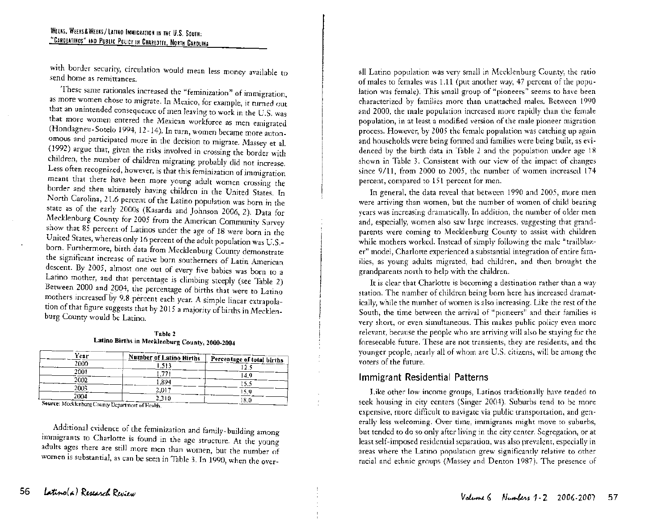with border security, circulation would mean less money available to send home as remittances.

These same rationales increased the "feminization" of immigration, as more women chose to migrate. In Mexico, for example, it turned out that an unintended consequence of men leaving to work in the U.S. was that more women entered the Mexican workforce as men emigrated (Hondagneu-Sotelo 1994, 12-14). In turn, women became more autonomous and participated more in the decision to migrate. Massey et al. (1992) argue that, given the risks involved in crossing the border with children, the number of children migrating probably did not increase. Less often recognized, however, is that this feminization of immigration meant that there have been more young adult women crossing the border and then ultimately having children in the United States. In North Carolina, 21.6 percent of the Latino population was born in the state as of the early 2000s (Kasarda and Johnson 2006, 2). Data for Mecklenburg County for 2005 from the American Community Survey show that  $85$  percent of Latinos under the age of 18 were born in the United States, whereas only 16 percent of the adult population was U.S. born. Furthermore, birth data from Mecklenburg County demonstrate the significant increase of native born southerners of Latin American descent. By 2005, almost one out of every five babies was born to a Latino mother, and that percentage is climbing steeply (see Table 2) Between 2000 and 2004, the percentage of births that were to Latino mothers increased by 9.8 percent each year. A simple linear extrapolation of that figure suggests that by 2015 a majority of births in Mecklenburg County would be Latino.

Table 2 Latino Births in Mecklenburg County, 2000-2004

| Year                                             | Number of Latino Births | Percentage of total births |
|--------------------------------------------------|-------------------------|----------------------------|
| 2000                                             | 1.513                   |                            |
| 2001                                             |                         | 14.9                       |
| 2002                                             | 1.894                   | 15.5                       |
| 2003                                             | 2,017                   | 15.9                       |
| 2004                                             | 2,310                   | -8.0                       |
| Source: Mecklenburg County Department of Health. |                         |                            |

Additional evidence of the feminization and family-building among immigrants to Charlotte is found in the age structure. At the young adults ages there are still more men than women, but the number of women is substantial, as can be seen in Table 3. In 1990, when the over-

all Latino population was very small in Mecklenburg County, the rat io of males to females was 1.11 (put another way, 47 percent of the popu lation was female). This small group of "pioneers" seems to have be en characterized by families more than unattached males. Between 19 90 and 2000, the male population increased more rapidly than the fem ale population, in at least a modified version of the male pioneer migrati on process. However, by 2005 the female population was catching up ag ain and households were being formed and families were being built, as evi denced by the birth data in Table 2 and the population under age 18 shown in Table 3. Consistent with our view of the impact of chang es since 9/11, from 2000 to 2005, the number of women increased 1 74 percent, compared to 151 percent for men.

In general, the data reveal that between 1990 and 2005, more m en were arriving than women, but the number of women of child beari ng years was increasing dramatically. In addition, the number of older m en and, especially, women also saw large increases, suggesting that grand parents were coming to Mecklenburg County to assist with childr en while mothers worked. Instead of simply following the male "trailbl azer" model, Charlotte experienced a substantial integration of entire fa milies, as young adults migrated, had children, and then brought t he grandparents north to help with the children.

It is clear that Charlotte is becoming a destination rather than a way station. The number of children being born here has increased dram atically, while the number of women is also increasing. Like the rest of the South, the time between the arrival of "pioneers" and their families is very short, or even simultaneous. This makes public policy even mo re relevant, because the people who are arriving will also be staying for t he foreseeable future. These are not transients, they are residents, and t he younger people, nearly all of whom are U.S. citizens, will be among t he voters of the future.

### Immigrant Residential Patterns

Like other low income groups, Latinos traditionally have tended to seek housing in city centers (Singer 2004). Suburbs tend to be more expensive, more difficult to navigate via public transportation, and generally less welcoming. Over time, immigrants might move to suburbs, but tended to do so only after living in the city center. Segregation, or at least self-imposed residential separation, was also prevalent, especially in areas where the Latino population grew significantly relative to other racial and ethnic groups (Massey and Denton 1987). The presence of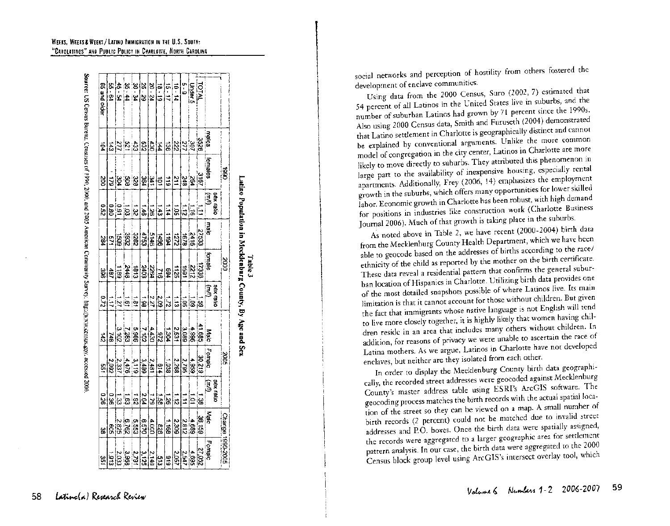|                                          |                | ga             |                                              |                    | 5000                     |                   |                       | ಣ                                                                  |                         | Change               | 1990-2006                                                                                                                                                                                                                                                               |
|------------------------------------------|----------------|----------------|----------------------------------------------|--------------------|--------------------------|-------------------|-----------------------|--------------------------------------------------------------------|-------------------------|----------------------|-------------------------------------------------------------------------------------------------------------------------------------------------------------------------------------------------------------------------------------------------------------------------|
|                                          |                |                | sex ratio                                    |                    |                          | <b>Digital</b>    |                       |                                                                    | sex ratio               |                      |                                                                                                                                                                                                                                                                         |
|                                          | salen          | ternales       | (سىل)                                        | male               | lemale                   | Ĵ                 | Malc                  | olgma <sup>-</sup>                                                 | (mm                     | igi<br>I             | Female                                                                                                                                                                                                                                                                  |
|                                          |                | $\frac{1}{2}$  |                                              |                    |                          |                   |                       | 30,219                                                             | ြ                       | <b>139.159</b>       | 27.052                                                                                                                                                                                                                                                                  |
| Under <sup>5</sup><br>Under <sup>5</sup> | <b>ERRY 65</b> |                | $\frac{1}{12}$ $\frac{1}{12}$ $\frac{1}{12}$ | $rac{27533}{2416}$ | <b>ERE</b><br><b>BRE</b> | 高高度               | $-1.986$<br>$-1.986$  |                                                                    | E                       | 6897                 |                                                                                                                                                                                                                                                                         |
| 5<br>6<br>0                              |                | 3 X            |                                              |                    |                          |                   | $rac{5}{1089}$        | $\frac{4,959}{2,795}$                                              | Ξ                       | 2,812                | $\frac{4.695}{2.547}$                                                                                                                                                                                                                                                   |
| $10 - 14$                                |                | ΣĻ             | ē                                            | $\frac{1}{2}$      | $\frac{1125}{25}$        | $\frac{1}{2}$     | ្រុះ                  | 2.268                                                              | $\frac{1}{2}$           | 508 <sup>2</sup>     | $\frac{2.05}{3}$                                                                                                                                                                                                                                                        |
| $11 - 51$                                |                | $\frac{1}{2}$  | $\frac{1}{4}$                                | 1104               |                          | i,                |                       |                                                                    | ls.                     | ē                    |                                                                                                                                                                                                                                                                         |
| $\frac{18 \cdot 19}{10}$                 |                | ē              | $\frac{1}{3}$                                | 361                | 녧                        |                   | $\frac{1}{2}$         | $\frac{1}{2}$                                                      | is.                     | a3                   |                                                                                                                                                                                                                                                                         |
| $\frac{20-24}{5}$                        |                | l£<br> ≍       | թ                                            | 5146               | 2264                     | $rac{2.51}{2.21}$ | $rac{1}{20}$          | 2,481                                                              | $\overline{\mathbf{z}}$ | $\frac{1}{2}$        |                                                                                                                                                                                                                                                                         |
| $25 - 29$                                | 최형예            | 364            | $\frac{1}{9}$                                | is:                | <b>SOPZ</b>              | ¦e<br> a          | $\overline{a}$        | 3.489                                                              | $\frac{2}{3}$           | 0298                 |                                                                                                                                                                                                                                                                         |
| 30. 34                                   |                |                |                                              |                    | $\frac{1}{2}$            |                   |                       |                                                                    | $\overline{3}$          | $rac{5}{25}$         |                                                                                                                                                                                                                                                                         |
|                                          |                |                |                                              |                    | 2448                     |                   |                       |                                                                    |                         |                      |                                                                                                                                                                                                                                                                         |
| $35 - 4$<br>42                           | ន្លង្គក្ដ      | 39.8           | ន្តន្ត្រីខ្ល                                 | <u>នន្ត្រី និង</u> | ia<br>I®                 | $\frac{1}{2}$     | ာ ၂၀၂၀<br>၂၀၂၅<br>၁၉၉ | $\begin{array}{l} 2.483 \\ -1.483 \\ -1.483 \\ \hline \end{array}$ | ន្លាន្ល                 | ನ್ನಡಚಿತ್ರ<br>ಜೈಪುತ್ರ | $\begin{array}{l} \mathbf{a} \mid \mathbf{a} \mid \mathbf{a} \mid \mathbf{a} \mid \mathbf{a} \mid \mathbf{a} \mid \mathbf{a} \\ \mathbf{a} \mid \mathbf{a} \mid \mathbf{a} \mid \mathbf{b} \mid \mathbf{b} \mid \mathbf{a} \mid \mathbf{a} \mid \mathbf{a} \end{array}$ |
| 55 PA                                    | 玉              | $\overline{5}$ |                                              |                    | đ                        | $\overline{11}$   | 748                   |                                                                    |                         |                      |                                                                                                                                                                                                                                                                         |
| 65 and older                             | Ë,             | š              | 230                                          | 284                | 38                       | $\frac{210}{2}$   | 31                    | š                                                                  | 92.0                    | 쓚                    | 351                                                                                                                                                                                                                                                                     |

Population Ξ. Table 3<br>Mecklenburg County āy an<br>Re and Sex

social networks and perception of hostility from others fostered the development of enclave communities.

Using data from the 2000 Census, Suro (2002, 7) estimated that 54 percent of all Latinos in the United States live in suburbs, and the number of suburban Latinos had grown by 71 percent since the 1990s. Also using 2000 Census data, Smith and Furuseth (2004) demonstrated that Latino settlement in Charlotte is geographically distinct and cannot be explained by conventional arguments. Unlike the more common model of congregation in the city center, Latinos in Charlotte are more likely to move directly to suburbs. They attributed this phenomenon in large part to the availability of inexpensive housing, especially rental apartments. Additionally, Frey (2006, 14) emphasizes the employment growth in the suburbs, which offers many opportunities for lower skilled labor. Economic growth in Charlotte has been robust, with high demand for positions in industries like construction work (Charlotte Business Journal 2006). Much of that growth is taking place in the suburbs.

As noted above in Table 2, we have recent (2000-2004) birth data from the Mecklenburg County Health Department, which we have been able to geocode based on the addresses of births according to the race/ ethnicity of the child as reported by the mother on the birth certificate. These data reveal a residential pattern that confirms the general suburban location of Hispanics in Charlotte. Utilizing birth data provides one of the most detailed snapshots possible of where Latinos live. Its main limitation is that it cannot account for those without children. But given the fact that immigrants whose native language is not English will tend to live more closely together, it is highly likely that women having children reside in an area that includes many others without children. In addition, for reasons of privacy we were unable to ascertain the race of Latina mothers. As we argue, Latinos in Charlotte have not developed enclaves, but neither are they isolated from each other.

In order to display the Mecklenburg County birth data geographically, the recorded street addresses were geocoded against Mecklenburg County's master address table using ESRI's ArcGIS software. The geocoding process matches the birth records with the actual spatial location of the street so they can be viewed on a map. A small number of birth records (2 percent) could not be matched due to invalid street addresses and P.O. boxes. Once the birth data were spatially assigned, the records were aggregated to a larger geographic area for settlement pattern analysis. In our case, the birth data were aggregated to the 2000 Census block group level using ArcGIS's intersect overlay tool, which

#### WEEKS, WEEKS & WEEKS/ LATINO IMMIGRATION IN THE U.S. SOUTH: CAROlATINOS" ANO PUBLIC POLICY IN CHARLOTTE, NORTH CAROLINA

Source: US Census Bureau, Censuses of 1990, 2000, and 2005 American Community Survey, http://www.census.ago. accessed 2006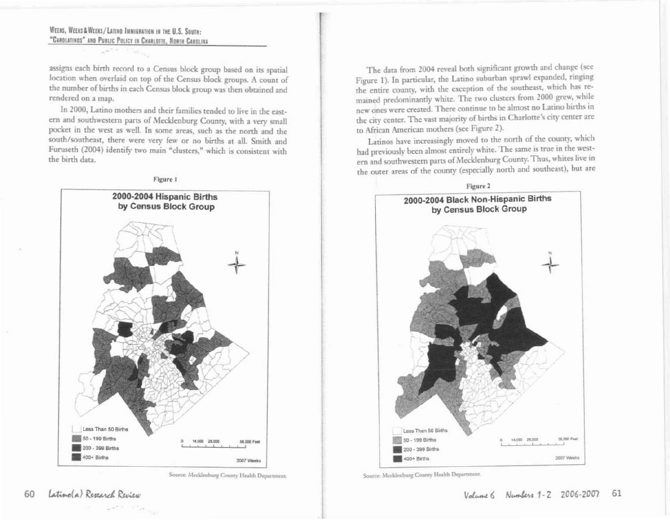### WEEKS. WEEKS & WEEKS / LATING IMMIGRATION IN THE U.S. SOUTH: "CAROLATINOS" AND PUBLIC POLICY IN CHARLOTTE, NORTH CAROLINA

 $\label{eq:reduced} \mathcal{L} = \mathcal{L}^{(0)} \times \mathcal{L}^{(0)} \times \mathcal{L}^{(0)} \times \mathcal{L}^{(0)}$ 

assigns each birth record to a Census block group based on its spatial location when overlaid on top of the Census block groups. A count of the number of births in each Census block group was then obtained and rendered on a map.

In 2000, Latino mothers and their families tended to live in the eastern and southwestern parts of Mecklenburg County, with a very small pocket in the west as well. In some areas, such as the north and the south/southeast, there were very few or no births at all. Smith and Furuseth (2004) identify two main "clusters," which is consistent with the birth data.



Source: Mecklenburg County Health Department.

The data from 2004 reveal both significant growth and change (see Figure 1). In particular, the Latino suburban sprawl expanded, ringing the entire county, with the exception of the southeast, which has remained predominantly white. The two clusters from 2000 grew, while new ones were created. There continue to be almost no Latino births in the city center. The vast majority of births in Charlotte's city center are to African American mothers (see Figure 2).

Latinos have increasingly moved to the north of the county, which had previously been almost entirely white. The same is true in the western and southwestern parts of Mecklenburg County. Thus, whites live in the outer areas of the county (especially north and southeast), but are



Source: Mecklenburg County Health Department.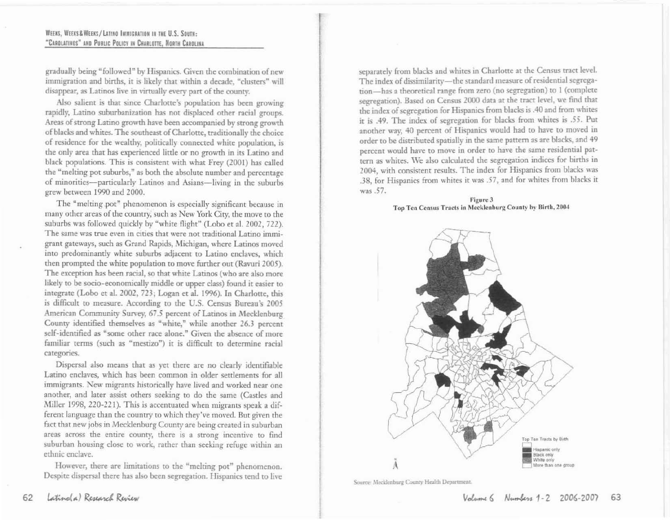#### WEEKS, WEEKS & WEEKS/LATINO IMMIGRATION IN THE U.S. SOUTH: "CARGLATINOS" AND PUBLIC POLICY IN CHARLOTTE, NORTH CAROLINA

gradually being "followed" by Hispanics. Given the combination of new immigration and births, it is likely that within a decade, "clusters" will disappear, as Latinos live in virtually every part of the county.

Also salient is that since Charlotte's population has been growing rapidly, Latino suburbanization has not displaced other racial groups. Areas of strong Latino growth have been accompanied by strong growth of blacks and whites. The southeast of Charlotte, traditionally the choice of residence for the wealthy, politically connected white population, is the only area that has experienced little or no growth in its Latino and black populations. This is consistent with what Frey (2001) has called the "melting pot suburbs," as both the absolute number and percentage of minorities-particularly Latinos and Asians-living in the suburbs grew between 1990 and 2000.

The "melting pot" phenomenon is especially significant because in many other areas of the country, such as New York City, the move to the suburbs was followed quickly by "white flight" (Lobo et al. 2002, 722). The same was true even in cities that were not traditional Latino immigrant gateways, such as Grand Rapids, Michigan, where Latinos moved into predominantly white suburbs adjacent to Latino enclaves, which then prompted the white population to move further out (Ravuri 2005). The exception has been racial, so that white Latinos (who are also more likely to be socio-economically middle or upper class) found it easier to integrate (Lobo et al. 2002, 723; Logan et al. 1996). In Charlotte, this is difficult to measure. According to the U.S. Census Bureau's 2005 American Community Survey, 67.5 percent of Latinos in Mecklenburg County identified themselves as "white," while another 26.3 percent self-identified as "some other race alone." Given the absence of more familiar terms (such as "mestizo") it is difficult to determine racial categories.

Dispersal also means that as yet there are no clearly identifiable Latino enclaves, which has been common in older settlements for all immigrants. New migrants historically have lived and worked near one another, and later assist others seeking to do the same (Castles and Miller 1998, 220-221). This is accentuated when migrants speak a different language than the country to which they've moved. But given the fact that new jobs in Mecklenburg County are being created in suburban areas across the entire county, there is a strong incentive to find suburban housing close to work, rather than seeking refuge within an ethnic enclave.

However, there are limitations to the "melting pot" phenomenon. Despite dispersal there has also been segregation. Hispanics tend to live

separately from blacks and whites in Charlotte at the Census tract level. The index of dissimilarity-the standard measure of residential segregation-has a theoretical range from zero (no segregation) to 1 (complete segregation). Based on Census 2000 data at the tract level, we find that the index of segregation for Hispanics from blacks is .40 and from whites it is .49. The index of segregation for blacks from whites is .55. Put another way, 40 percent of Hispanics would had to have to moved in order to be distributed spatially in the same pattern as are blacks, and 49 percent would have to move in order to have the same residential pattern as whites. We also calculated the segregation indices for births in 2004, with consistent results. The index for Hispanics from blacks was .38, for Hispanics from whites it was .57, and for whites from blacks it was .57.

Figure 3 Top Ten Census Tracts in Mecklenburg County by Birth, 2004



Source: Mecklenburg County Health Department.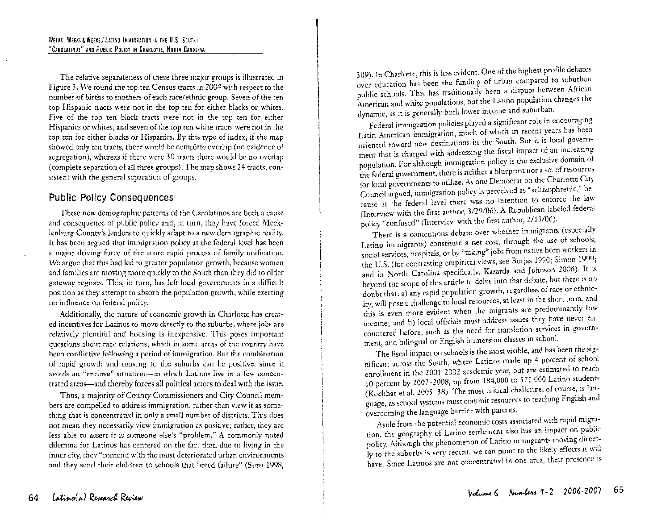The relative separateness of these three major groups is illustrated in Figure 3. We found the top ten Census tracts in 2004 with respect to the number of births to mothers of each race/ethnic group. Seven of the ten top Hispanic tracts were not in the top ten for either blacks or whites. Five of the top ten black tracts were not in the top ten for either Hispanics or whites, and seven of the top ten white tracts were not in the top ten for either blacks or Hispanics. By this type of index, if the map showed only ten tracts, there would be complete overlap (no evidence of segregation), whereas if there were 30 tracts there would be no overlap (complete separation of all three groups). The map shows 24 tracts, consistent with the general separation of groups.

## **Public Policy Consequences**

These new demographic patterns of the Carolatinos are both a cause and consequence of public policy and, in turn, they have forced Mecklenburg County's leaders to quickly adapt to a new demographic reality. It has been argued that immigration policy at the federal level has been a major driving force of the more rapid process of family unification. We argue that this had led to greater population growth, because women and families are moving more quickly to the South than they did to older gateway regions. This, in turn, has left local governments in a difficult position as they attempt to absorb the population growth, while exerting no influence on federal policy.

Additionally, the nature of economic growth in Charlotte has created incentives for Latinos to move directly to the suburbs, where jobs are relatively plentiful and housing is inexpensive. This poses important questions about race relations, which in some areas of the country have been conflictive following a period of immigration. But the combination of rapid growth and moving to the suburbs can be positive, since it avoids an "enclave" situation-in which Latinos live in a few concentrated areas-and thereby forces all political actors to deal with the issue.

Thus, a majority of County Commissioners and City Council members are compelled to address immigration, rather than view it as something that is concentrated in only a small number of districts. This does not mean they necessarily view immigration as positive; rather, they are less able to assert it is someone else's "problem." A commonly noted dilemma for Latinos has centered on the fact that, due to living in the inner city, they "contend with the most deteriorated urban environments and they send their children to schools that breed failure" (Suro 1998,

309). In Charlotte, this is less evident. One of the highest profile debates over education has been the funding of urban compared to suburban public schools. This has traditionally been a dispute between African American and white populations, but the Latino population changes the dynamic, as it is generally both lower income and suburban.

Federal immigration policies played a significant role in encouraging Latin American immigration, much of which in recent years has been oriented toward new destinations in the South. But it is local government that is charged with addressing the fiscal impact of an increasing population. For although immigration policy is the exclusive domain of the federal government, there is neither a blueprint nor a set of resources for local governments to utilize. As one Democrat on the Charlotte CIty Council argued, immigration policy is perceived as "schizophrenic," because at the federal level there was no intention to enforce the law (Interview with the first author, 3/29/06). A Republican labeled federal policy "confused" (Interview with the first author, 2/13/06).

There is a contentious debate over whether immigrants (especially Latino immigrants) constitute a net cost, through the use of schools, social services, hospitals, or by "taking" jobs from native born workers in the U.S. (for contrasting empirical views, see Borjas 1990; Simon 1999; and in North Carolina specifically, Kasarda and Johnson 2006). It is beyond the scope of this article to delve into that debate, but there is no doubt that: a) any rapid population growth, regardless of race or ethnicity, will pose a challenge to local resources, at least in the short term, and this is even more evident when the migrants are predommantly low income; and b) local officials must address issues they have never encountered before, such as the need for translation services in government, and bilingual or English immersion classes in school.

The fiscal impact on schools is the most visible, and has been the significant across the South, where Latinos made up 4 percent of school enrollment in the 2001-2002 academic year, but are estimated to reach 10 percent by 2007-2008, up from  $184,000$  to 571,000 Latino students (Kochhar et al. 2005, 38). The most critical challenge, of course, is language, as school systems must commit resources to teaching English and overcoming the language barrier with parents.

Aside from the potential economic costs associated with rapid migration, the geography of Latino settlement also has an impact on public policy. Although the phenomenon of Latino immigrants moving directly to the suburbs is very recent, we can point to the likely effects it will have. Since Latinos are not concentrated in one area, their presence is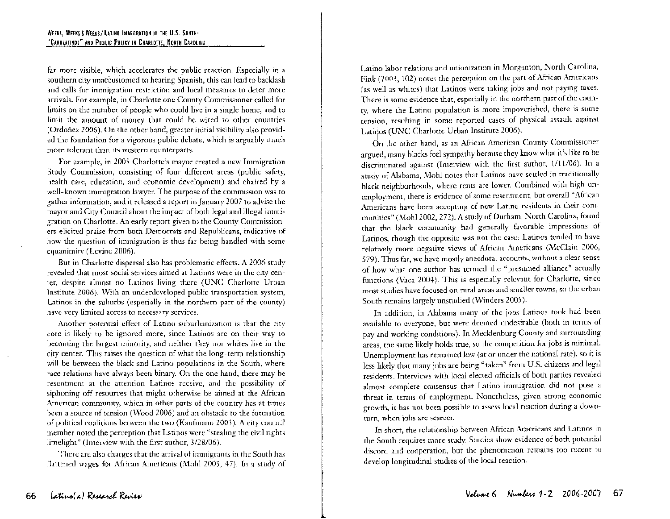far more visible, which accelerates the public reaction. Especially in a southern city unaccustomed to hearing Spanish, this can lead to backlash and calls for immigration restriction and local measures to deter more arrivals. For example, in Charlotte one County Commissioner called for limits on the number of people who could live in a single home, and to limit the amount of money that could be wired to other countries (Ordonez 2006). On the other hand, greater initial visibility also provided the foundation for a vigorous public debate, which is arguably much more tolerant than its western counterparts.

For example, in 2005 Charlotte's mayor created a new Immigration Study Commission, consisting of four different areas (public safety, health care, education, and economic development) and chaired by a well- known immigration lawyer. The purpose of the commission was to gather information, and it released a report in]anuary 2007 to advise the mayor and City Council about the impact of both legal and illegal immigration on Charlotte. An early report given to the County Commissioners elicited praise from both Democrats and Republicans, indicative of how the question of immigration is thus far being handled with some equanimity (Levine 2006).

But in Charlotte dispersal also has problematic effects. A 2006 study revealed that most social services aimed at Latinos were in the city center, despite almost no Latinos living there (UNC Charlotte Urban Institute 2006). With an underdeveloped public transportation system, Latinos in the suburbs (especially in the northern part of the county) have very limited access to necessary services.

Another potential effect of Latino suburbanization is that the city core is likely to be ignored more, since Latinos are on their way to becoming the largest minority, and neither they nor whites live in the city center. This raises the question of what the long-term relationship will be between the black and Latino populations in the South, where race relations have always been binary. On the one hand, there may be resentment at the attention Latinos receive, and the possibility of siphoning off resources that might otherwise be aimed at the African American community, which in other parts of the country has at times been a source of tension (Wood 2006) and an obstacle to the formation of political coalitions between the two (Kaufmann 2003). A city council member noted the perception that Latinos were "stealing the civil rights limelight" (Interview with the first author, 3/28/06).

There are also charges that the arrival of immigrants in the South has flattened wages for African Americans (Mohl 2003, 47). In a study of Latino labor relations and unionization in Morganton, North Carolina, Fink (2003, 102) notes the perception on the part of African Americans (as well as whites) that Latinos were taking jobs and not paying taxes. There is some evidence that, especially in the northern part of the county, where the Latino population is more impoverished, there is some tension, resulting in some reported cases of physical assault against Latinos (UNC Charlotte Urban Institute 2006).

On the other hand, as an African American County Commissioner argued, many blacks feel sympathy because they know what it's like to be discriminated against (Interview with the first author, 1/11/06). In a study of Alabama, Mohl notes that Latinos have settled in traditionally black neighborhoods, where rents are lower. Combined with high unemployment, there is evidence of some resentment, but overall"African Americans have been accepting of new Latino residents in their communities" (MohI2002, 272). A study of Durham, North Carolina, found that the black community had generally favorable impressions of Latinos, though the opposite was not the case: Latinos tended to have relatively more negative views of African Americans (McClain 2006, 579). Thus far, we have mostly anecdotal accounts, without a clear sense of how what one author has termed the "presumed alliance" actually functions (Vaca 2004). This is especially relevant for Charlotte, since most studies have focused on rural areas and smaller towns, so the urban South remains largely unstudied (Winders 2005).

In addition, in Alabama many of the jobs Latinos took had been available to everyone, but were deemed undesirable (both in terms of pay and working conditions). In Mecklenburg County and surrounding areas, the same likely holds true, so the competition for jobs is minimal. Unemployment has remained low (at or under the national rate), so it is less likely that many jobs are being "taken" from U.S. citizens and legal residents. Interviews with local elected officials of both parties revealed almost complete consensus that Latino immigration did not pose a threat in terms of employment. Nonetheless, given strong economic growth, it has not been possible to assess local reaction during a downturn, when jobs are scarcer.

In short, the relationship between African Americans and Latinos in the South requires more study. Studies show evidence of both potential discord and cooperation, but the phenomenon remains too recent to develop longitudinal studies of the local reaction.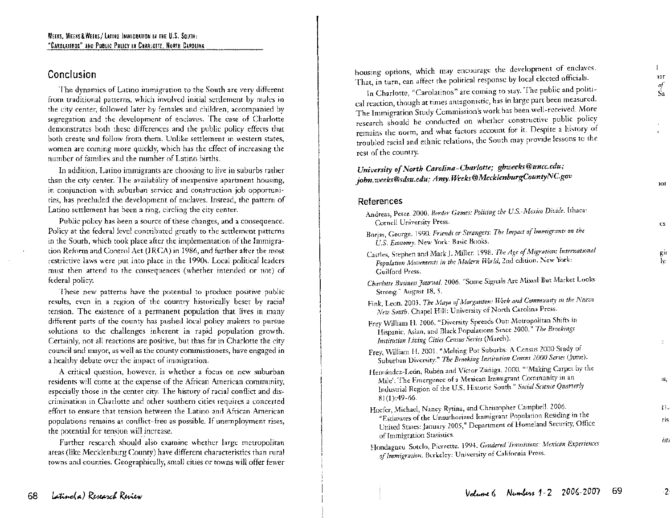## **Conclusion**

The dynamics of Latino immigration to the South are very different from traditional patterns, which involved initial settlement by males in the city center, followed later by females and children, accompanied by segregation and the development of enclaves. The case of Charlotte demonstrates both these differences and the public policy effects that both create and follow from them. Unlike settlement in western states, women are coming more quickly, which has the effect of increasing the number of families and the number of Latino births.

In addition, Latino immigrants are choosing to live in suburbs rather than the city center. The availability of inexpensive apartment housing, in conjunction with suburban service and construction job opportunities, has precluded the development of enclaves. Instead, the pattern of Latino settlement has been a ring, circling the city center.

Public policy has been a source of these changes, and a consequence. Policy at the federal level contributed greatly to the settlement patterns in the South, which took place after the implementation of the Immigration Reform and Control Act (IRCA) in 1986, and further after the most restrictive laws were put into place in the 1990s. Local political leaders must then attend to the consequences (whether intended or not) of federal policy.

These new patterns have the potential to produce positive public results, even in a region of the country historically beset by racial tension. The existence of a permanent population that lives in many different parts of the county has pushed local policy makers to pursue solutions to the challenges inherent in rapid population growth. Certainly, not all reactions are positive, but thus far in Charlotte the city council and mayor, as well as the county commissioners, have engaged in a healthy debate over the impact of immigration.

A critical question, however, is whether a focus on new suburban residents will come at the expense of the African American community, especially those in the center city. The history of racial conflict and discrimination in Charlotte and other southern cities requires a concerted effort to ensure that tension between the Latino and African American populations remains as conflict-free as possible. If unemployment rises, the potential for tension will increase.

Further research should also examine whether large metropolitan areas (like Mecklenburg County) have different characteristics than rural towns and counties. Geographically, small cities or towns will offer fewer housing options, which may encourage the development of enclaves. That, in turn, can affect the political response by local elected officials.

nar *of*  Sa

 $\cdot$ 

 $\mathbf{1}$ 

lor

cs

gil ly.

**IS,** 

÷.

13 ris

*isti* 

In Charlotte, "Carolatinos" are coming to stay. The public and political reaction, though at times antagonistic, has in large part been measured. The Immigration Study Commission's work has been well-received. More research should be conducted on whether constructive public policy remains the norm, and what factors account for it. Despite a history of troubled racial and ethnic relations, the South may provide lessons to the rest of the country.

# *University ofNorth Carolina-Charlotte; gbweeks@uncc.edu; john.weeks@sdsu.edu; Amy. Weeks@MecklenburgCountyNC.gov*

## **References**

| ,,,,,,,,,,                                                                                                                                                                                                                                   |
|----------------------------------------------------------------------------------------------------------------------------------------------------------------------------------------------------------------------------------------------|
| Andreas, Peter. 2000. <i>Border Games: Policing the U.S. Mexico Divide</i> . Ithaca:<br>Cornell University Press.                                                                                                                            |
| Borjas, George. 1990. Friends or Strangers: The Impact of Immigrants on the<br>U.S. Economy. New York: Basic Books.                                                                                                                          |
| Castles, Stephen and Mark J. Miller. 1998. The Age of Migration: International<br>Population Movements in the Modern World, 2nd edition. New York:<br>Guilford Press.                                                                        |
| Charlotte Business Journal. 2006. "Some Signals Are Mixed But Market Looks<br>Strong." August 18, 5.                                                                                                                                         |
| Fink, Leon. 2003. The Maya of Morganton: Work and Community in the Nuevo<br>New South. Chapel Hill: University of North Carolina Press.                                                                                                      |
| Frey William H. 2006. "Diversity Spreads Out: Metropolitan Shifts in<br>Hispanic, Asian, and Black Populations Since 2000." The Brookings<br>Institution Living Cities Census Series (March).                                                |
| Frey, William H. 2001. "Melting Pot Suburbs: A Census 2000 Study of<br>Suburban Diversity." The Brooking Institution Census 2000 Series (June).                                                                                              |
| Hernández-León, Rubén and Víctor Zúñiga. 2000. "'Making Carpet by the<br>Mile': The Emergence of a Mexican Immigrant Community in an<br>Industrial Region of the U.S. Historic South." Social Science Quarterly<br>$81(1):49-66.$            |
| Hoefer, Michael, Nancy Rytina, and Christopher Campbell. 2006.<br>"Estimates of the Unauthorized Immigrant Population Residing in the<br>United States: January 2005," Department of Homeland Security, Office<br>of Immigration Statistics. |
| Hondagneu Sotelo, Pierrette. 1994. Gendered Transitions: Mexican Experiences<br>of Immigration. Berkeley: University of California Press.                                                                                                    |